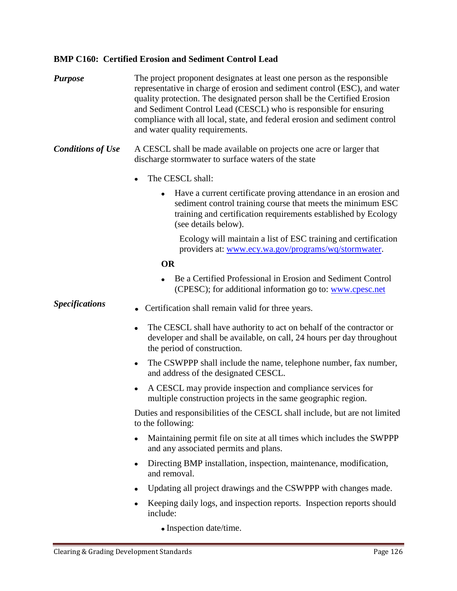## **BMP C160: Certified Erosion and Sediment Control Lead**

- *Purpose* The project proponent designates at least one person as the responsible representative in charge of erosion and sediment control (ESC), and water quality protection. The designated person shall be the Certified Erosion and Sediment Control Lead (CESCL) who is responsible for ensuring compliance with all local, state, and federal erosion and sediment control and water quality requirements.
- *Conditions of Use* A CESCL shall be made available on projects one acre or larger that discharge stormwater to surface waters of the state
	- The CESCL shall:
		- Have a current certificate proving attendance in an erosion and  $\bullet$ sediment control training course that meets the minimum ESC training and certification requirements established by Ecology (see details below).

Ecology will maintain a list of ESC training and certification providers at: [www.ecy.wa.gov/programs/wq/stormwater.](http://www.ecy.wa.gov/programs/wq/stormwater)

### **OR**

Be a Certified Professional in Erosion and Sediment Control (CPESC); for additional information go to: [www.cpesc.net](http://www.cpesc.net/)

- **Specifications** Certification shall remain valid for three years.
	- $\bullet$ The CESCL shall have authority to act on behalf of the contractor or developer and shall be available, on call, 24 hours per day throughout the period of construction.
	- The CSWPPP shall include the name, telephone number, fax number, and address of the designated CESCL.
	- A CESCL may provide inspection and compliance services for multiple construction projects in the same geographic region.

Duties and responsibilities of the CESCL shall include, but are not limited to the following:

- Maintaining permit file on site at all times which includes the SWPPP  $\bullet$ and any associated permits and plans.
- Directing BMP installation, inspection, maintenance, modification, and removal.
- Updating all project drawings and the CSWPPP with changes made.
- Keeping daily logs, and inspection reports. Inspection reports should include:
	- Inspection date/time.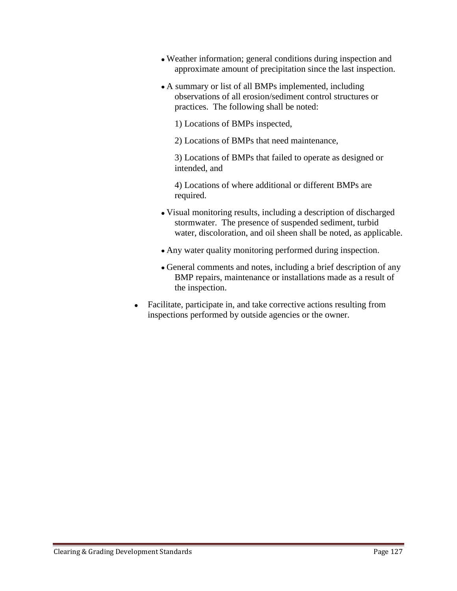- Weather information; general conditions during inspection and approximate amount of precipitation since the last inspection.
- A summary or list of all BMPs implemented, including observations of all erosion/sediment control structures or practices. The following shall be noted:

1) Locations of BMPs inspected,

2) Locations of BMPs that need maintenance,

3) Locations of BMPs that failed to operate as designed or intended, and

4) Locations of where additional or different BMPs are required.

- Visual monitoring results, including a description of discharged stormwater. The presence of suspended sediment, turbid water, discoloration, and oil sheen shall be noted, as applicable.
- Any water quality monitoring performed during inspection.
- General comments and notes, including a brief description of any BMP repairs, maintenance or installations made as a result of the inspection.
- Facilitate, participate in, and take corrective actions resulting from  $\bullet$ inspections performed by outside agencies or the owner.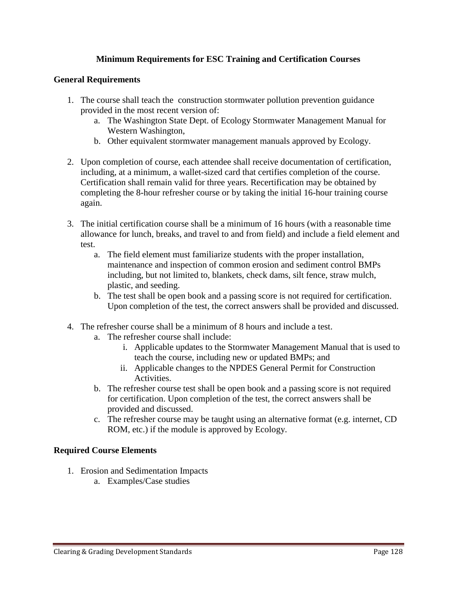# **Minimum Requirements for ESC Training and Certification Courses**

## **General Requirements**

- 1. The course shall teach the construction stormwater pollution prevention guidance provided in the most recent version of:
	- a. The Washington State Dept. of Ecology Stormwater Management Manual for Western Washington,
	- b. Other equivalent stormwater management manuals approved by Ecology.
- 2. Upon completion of course, each attendee shall receive documentation of certification, including, at a minimum, a wallet-sized card that certifies completion of the course. Certification shall remain valid for three years. Recertification may be obtained by completing the 8-hour refresher course or by taking the initial 16-hour training course again.
- 3. The initial certification course shall be a minimum of 16 hours (with a reasonable time allowance for lunch, breaks, and travel to and from field) and include a field element and test.
	- a. The field element must familiarize students with the proper installation, maintenance and inspection of common erosion and sediment control BMPs including, but not limited to, blankets, check dams, silt fence, straw mulch, plastic, and seeding.
	- b. The test shall be open book and a passing score is not required for certification. Upon completion of the test, the correct answers shall be provided and discussed.
- 4. The refresher course shall be a minimum of 8 hours and include a test.
	- a. The refresher course shall include:
		- i. Applicable updates to the Stormwater Management Manual that is used to teach the course, including new or updated BMPs; and
		- ii. Applicable changes to the NPDES General Permit for Construction Activities.
	- b. The refresher course test shall be open book and a passing score is not required for certification. Upon completion of the test, the correct answers shall be provided and discussed.
	- c. The refresher course may be taught using an alternative format (e.g. internet, CD ROM, etc.) if the module is approved by Ecology.

## **Required Course Elements**

- 1. Erosion and Sedimentation Impacts
	- a. Examples/Case studies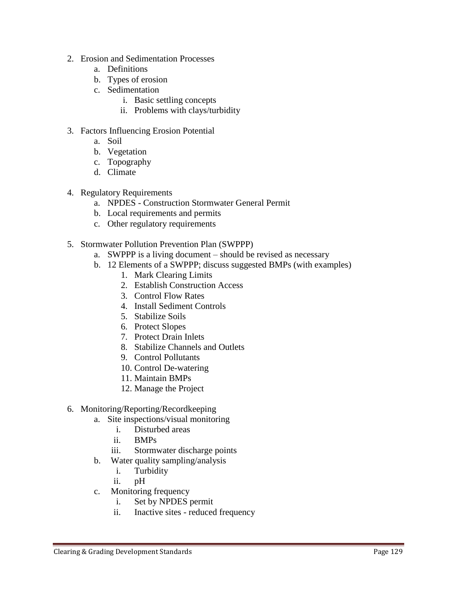- 2. Erosion and Sedimentation Processes
	- a. Definitions
	- b. Types of erosion
	- c. Sedimentation
		- i. Basic settling concepts
		- ii. Problems with clays/turbidity
- 3. Factors Influencing Erosion Potential
	- a. Soil
	- b. Vegetation
	- c. Topography
	- d. Climate
- 4. Regulatory Requirements
	- a. NPDES Construction Stormwater General Permit
	- b. Local requirements and permits
	- c. Other regulatory requirements
- 5. Stormwater Pollution Prevention Plan (SWPPP)
	- a. SWPPP is a living document should be revised as necessary
	- b. 12 Elements of a SWPPP; discuss suggested BMPs (with examples)
		- 1. Mark Clearing Limits
		- 2. Establish Construction Access
		- 3. Control Flow Rates
		- 4. Install Sediment Controls
		- 5. Stabilize Soils
		- 6. Protect Slopes
		- 7. Protect Drain Inlets
		- 8. Stabilize Channels and Outlets
		- 9. Control Pollutants
		- 10. Control De-watering
		- 11. Maintain BMPs
		- 12. Manage the Project
- 6. Monitoring/Reporting/Recordkeeping
	- a. Site inspections/visual monitoring
		- i. Disturbed areas
		- ii. BMPs
		- iii. Stormwater discharge points
	- b. Water quality sampling/analysis
		- i. Turbidity
		- ii. pH
	- c. Monitoring frequency
		- i. Set by NPDES permit
		- ii. Inactive sites reduced frequency